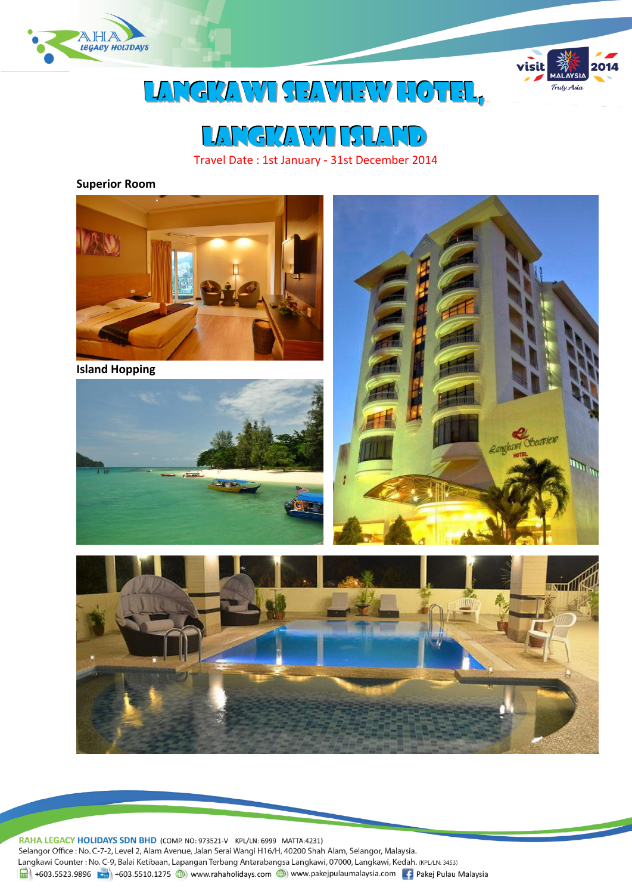



# LANGKAWI SEAVIEW HOTEL,



Travel Date : 1st January - 31st December 2014

#### **Superior Room**



RAHA LEGACY HOLIDAYS SDN BHD (COMP. NO: 973521-V KPL/LN: 6999 MATTA:4231) Selangor Office : No. C-7-2, Level 2, Alam Avenue, Jalan Serai Wangi H16/H, 40200 Shah Alam, Selangor, Malaysia. Langkawi Counter: No. C-9, Balai Ketibaan, Lapangan Terbang Antarabangsa Langkawi, 07000, Langkawi, Kedah. (KPL/LN: 3453) 1 +603.5523.9896 +603.5510.1275 (b) www.rahaholidays.com (b) www.pakejpulaumalaysia.com + Pakej Pulau Malaysia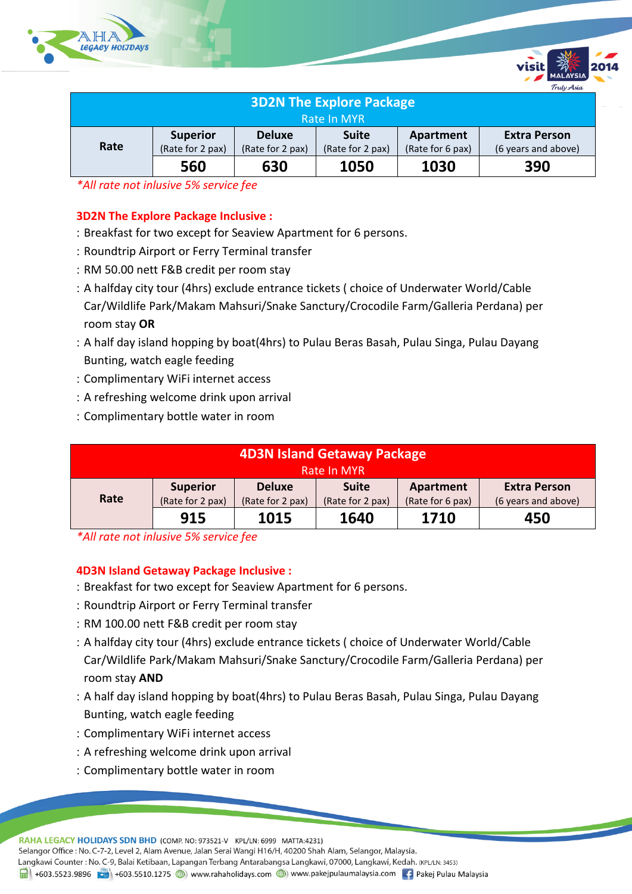



*\*All rate not inlusive 5% service fee*

## **3D2N The Explore Package Inclusive :**

- Breakfast for two except for Seaview Apartment for 6 persons.
- Roundtrip Airport or Ferry Terminal transfer
- RM 50.00 nett F&B credit per room stay
- A halfday city tour (4hrs) exclude entrance tickets ( choice of Underwater World/Cable Car/Wildlife Park/Makam Mahsuri/Snake Sanctury/Crocodile Farm/Galleria Perdana) per room stay **OR**
- A half day island hopping by boat(4hrs) to Pulau Beras Basah, Pulau Singa, Pulau Dayang Bunting, watch eagle feeding
- Complimentary WiFi internet access
- A refreshing welcome drink upon arrival
- Complimentary bottle water in room

| 4D3N Island Getaway Package |                  |                  |                  |                  |                     |  |
|-----------------------------|------------------|------------------|------------------|------------------|---------------------|--|
| Rate In MYR                 |                  |                  |                  |                  |                     |  |
|                             | <b>Superior</b>  | <b>Deluxe</b>    | <b>Suite</b>     | Apartment        | <b>Extra Person</b> |  |
| Rate                        | (Rate for 2 pax) | (Rate for 2 pax) | (Rate for 2 pax) | (Rate for 6 pax) | (6 years and above) |  |
|                             | 915              | 1015             | 1640             | 1710             | 450                 |  |

*\*All rate not inlusive 5% service fee*

### **4D3N Island Getaway Package Inclusive :**

- Breakfast for two except for Seaview Apartment for 6 persons.
- Roundtrip Airport or Ferry Terminal transfer
- RM 100.00 nett F&B credit per room stay
- A halfday city tour (4hrs) exclude entrance tickets ( choice of Underwater World/Cable Car/Wildlife Park/Makam Mahsuri/Snake Sanctury/Crocodile Farm/Galleria Perdana) per room stay **AND**
- A half day island hopping by boat(4hrs) to Pulau Beras Basah, Pulau Singa, Pulau Dayang Bunting, watch eagle feeding
- Complimentary WiFi internet access
- A refreshing welcome drink upon arrival
- Complimentary bottle water in room

RAHA LEGACY HOLIDAYS SDN BHD (COMP. NO: 973521-V KPL/LN: 6999 MATTA:4231) Selangor Office : No. C-7-2, Level 2, Alam Avenue, Jalan Serai Wangi H16/H, 40200 Shah Alam, Selangor, Malaysia.

Langkawi Counter: No. C-9, Balai Ketibaan, Lapangan Terbang Antarabangsa Langkawi, 07000, Langkawi, Kedah. (KPL/LN: 3453)

1 +603.5523.9896 + +603.5510.1275 (b) www.rahaholidays.com (b) www.pakejpulaumalaysia.com + Pakej Pulau Malaysia